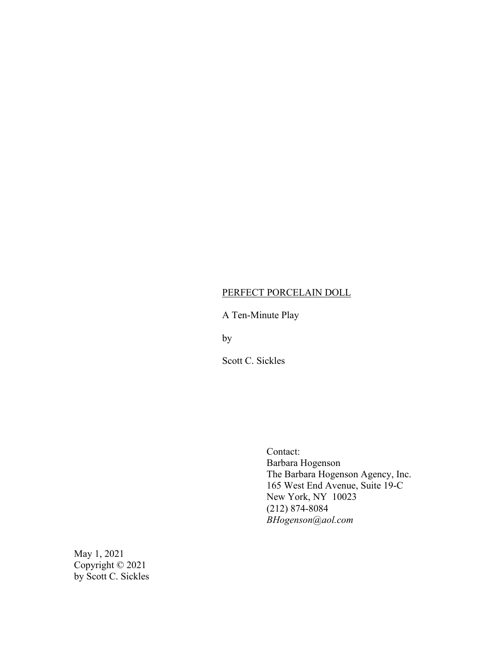# PERFECT PORCELAIN DOLL

# A Ten-Minute Play

by

Scott C. Sickles

Contact: Barbara Hogenson The Barbara Hogenson Agency, Inc. 165 West End Avenue, Suite 19-C New York, NY 10023 (212) 874-8084 *BHogenson@aol.com*

May 1, 2021 Copyright © 2021 by Scott C. Sickles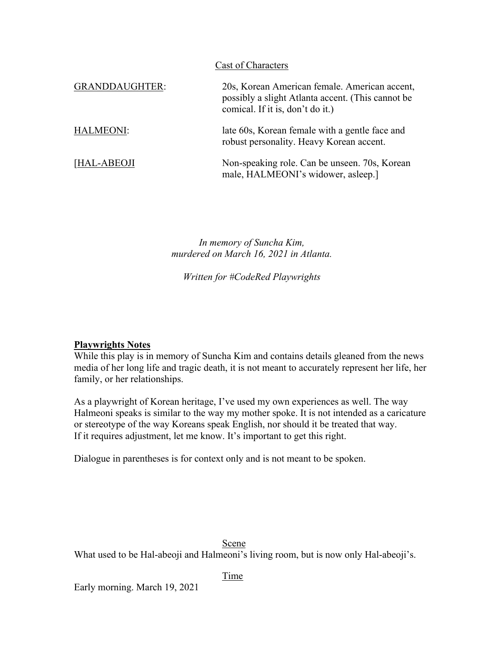| Cast of Characters    |                                                                                                                                        |
|-----------------------|----------------------------------------------------------------------------------------------------------------------------------------|
| <b>GRANDDAUGHTER:</b> | 20s, Korean American female. American accent,<br>possibly a slight Atlanta accent. (This cannot be<br>comical. If it is, don't do it.) |
| HALMEONI:             | late 60s, Korean female with a gentle face and<br>robust personality. Heavy Korean accent.                                             |
| [HAL-ABEOJI           | Non-speaking role. Can be unseen. 70s, Korean<br>male, HALMEONI's widower, asleep.]                                                    |

*In memory of Suncha Kim, murdered on March 16, 2021 in Atlanta.*

*Written for #CodeRed Playwrights*

## **Playwrights Notes**

While this play is in memory of Suncha Kim and contains details gleaned from the news media of her long life and tragic death, it is not meant to accurately represent her life, her family, or her relationships.

As a playwright of Korean heritage, I've used my own experiences as well. The way Halmeoni speaks is similar to the way my mother spoke. It is not intended as a caricature or stereotype of the way Koreans speak English, nor should it be treated that way. If it requires adjustment, let me know. It's important to get this right.

Dialogue in parentheses is for context only and is not meant to be spoken.

### Scene

What used to be Hal-abeoji and Halmeoni's living room, but is now only Hal-abeoji's.

### Time

Early morning. March 19, 2021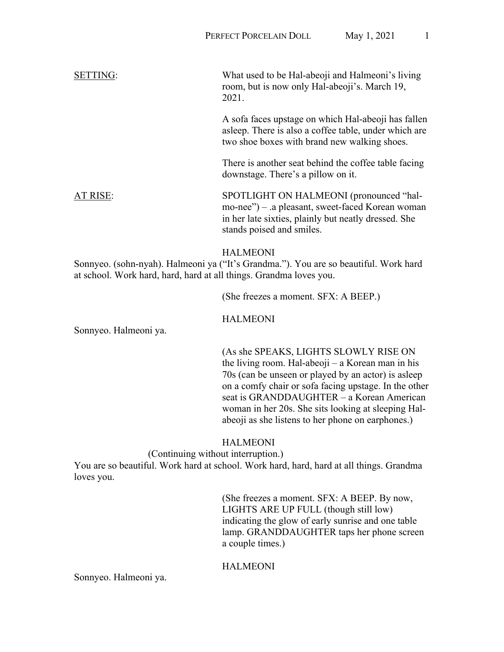SETTING: What used to be Hal-abeoji and Halmeoni's living room, but is now only Hal-abeoji's. March 19, 2021. A sofa faces upstage on which Hal-abeoji has fallen

asleep. There is also a coffee table, under which are two shoe boxes with brand new walking shoes.

There is another seat behind the coffee table facing downstage. There's a pillow on it.

AT RISE: SPOTLIGHT ON HALMEONI (pronounced "halmo-nee") – .a pleasant, sweet-faced Korean woman in her late sixties, plainly but neatly dressed. She stands poised and smiles.

## HALMEONI

Sonnyeo. (sohn-nyah). Halmeoni ya ("It's Grandma."). You are so beautiful. Work hard at school. Work hard, hard, hard at all things. Grandma loves you.

(She freezes a moment. SFX: A BEEP.)

HALMEONI

Sonnyeo. Halmeoni ya.

(As she SPEAKS, LIGHTS SLOWLY RISE ON the living room. Hal-abeoji – a Korean man in his 70s (can be unseen or played by an actor) is asleep on a comfy chair or sofa facing upstage. In the other seat is GRANDDAUGHTER – a Korean American woman in her 20s. She sits looking at sleeping Halabeoji as she listens to her phone on earphones.)

## HALMEONI

(Continuing without interruption.)

You are so beautiful. Work hard at school. Work hard, hard, hard at all things. Grandma loves you.

> (She freezes a moment. SFX: A BEEP. By now, LIGHTS ARE UP FULL (though still low) indicating the glow of early sunrise and one table lamp. GRANDDAUGHTER taps her phone screen a couple times.)

## HALMEONI

Sonnyeo. Halmeoni ya.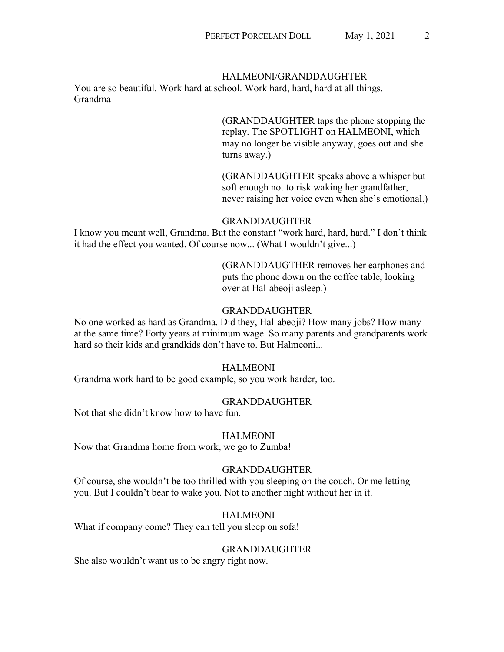#### HALMEONI/GRANDDAUGHTER

You are so beautiful. Work hard at school. Work hard, hard, hard at all things. Grandma—

> (GRANDDAUGHTER taps the phone stopping the replay. The SPOTLIGHT on HALMEONI, which may no longer be visible anyway, goes out and she turns away.)

(GRANDDAUGHTER speaks above a whisper but soft enough not to risk waking her grandfather, never raising her voice even when she's emotional.)

#### GRANDDAUGHTER

I know you meant well, Grandma. But the constant "work hard, hard, hard." I don't think it had the effect you wanted. Of course now... (What I wouldn't give...)

> (GRANDDAUGTHER removes her earphones and puts the phone down on the coffee table, looking over at Hal-abeoji asleep.)

### GRANDDAUGHTER

No one worked as hard as Grandma. Did they, Hal-abeoji? How many jobs? How many at the same time? Forty years at minimum wage. So many parents and grandparents work hard so their kids and grandkids don't have to. But Halmeoni...

### HALMEONI

Grandma work hard to be good example, so you work harder, too.

#### GRANDDAUGHTER

Not that she didn't know how to have fun.

### HALMEONI

Now that Grandma home from work, we go to Zumba!

#### GRANDDAUGHTER

Of course, she wouldn't be too thrilled with you sleeping on the couch. Or me letting you. But I couldn't bear to wake you. Not to another night without her in it.

#### HALMEONI

What if company come? They can tell you sleep on sofa!

#### GRANDDAUGHTER

She also wouldn't want us to be angry right now.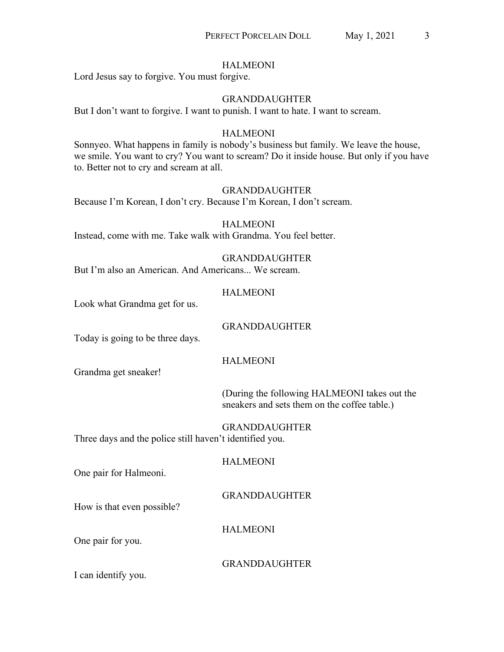### HALMEONI

Lord Jesus say to forgive. You must forgive.

## GRANDDAUGHTER

But I don't want to forgive. I want to punish. I want to hate. I want to scream.

## HALMEONI

Sonnyeo. What happens in family is nobody's business but family. We leave the house, we smile. You want to cry? You want to scream? Do it inside house. But only if you have to. Better not to cry and scream at all.

## GRANDDAUGHTER

Because I'm Korean, I don't cry. Because I'm Korean, I don't scream.

HALMEONI Instead, come with me. Take walk with Grandma. You feel better.

## GRANDDAUGHTER

But I'm also an American. And Americans... We scream.

## HALMEONI

Look what Grandma get for us.

## GRANDDAUGHTER

Today is going to be three days.

## HALMEONI

Grandma get sneaker!

(During the following HALMEONI takes out the sneakers and sets them on the coffee table.)

GRANDDAUGHTER Three days and the police still haven't identified you.

HALMEONI

One pair for Halmeoni.

GRANDDAUGHTER

How is that even possible?

HALMEONI

One pair for you.

## GRANDDAUGHTER

I can identify you.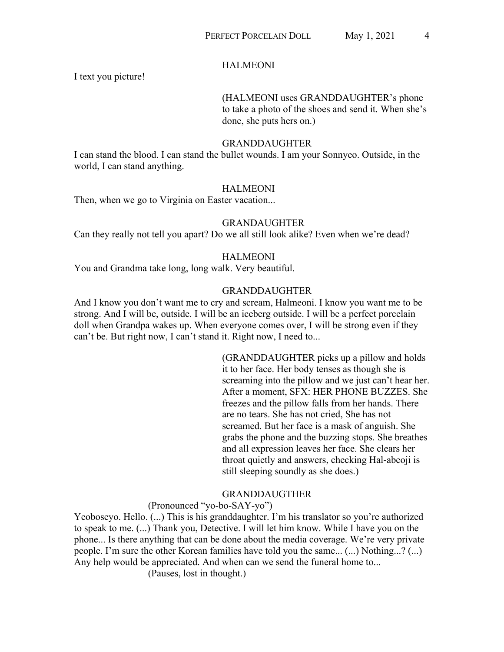### HALMEONI

I text you picture!

# (HALMEONI uses GRANDDAUGHTER's phone to take a photo of the shoes and send it. When she's done, she puts hers on.)

#### GRANDDAUGHTER

I can stand the blood. I can stand the bullet wounds. I am your Sonnyeo. Outside, in the world, I can stand anything.

#### HALMEONI

Then, when we go to Virginia on Easter vacation...

#### GRANDAUGHTER

Can they really not tell you apart? Do we all still look alike? Even when we're dead?

#### HALMEONI

You and Grandma take long, long walk. Very beautiful.

#### GRANDDAUGHTER

And I know you don't want me to cry and scream, Halmeoni. I know you want me to be strong. And I will be, outside. I will be an iceberg outside. I will be a perfect porcelain doll when Grandpa wakes up. When everyone comes over, I will be strong even if they can't be. But right now, I can't stand it. Right now, I need to...

> (GRANDDAUGHTER picks up a pillow and holds it to her face. Her body tenses as though she is screaming into the pillow and we just can't hear her. After a moment, SFX: HER PHONE BUZZES. She freezes and the pillow falls from her hands. There are no tears. She has not cried, She has not screamed. But her face is a mask of anguish. She grabs the phone and the buzzing stops. She breathes and all expression leaves her face. She clears her throat quietly and answers, checking Hal-abeoji is still sleeping soundly as she does.)

### GRANDDAUGTHER

### (Pronounced "yo-bo-SAY-yo")

Yeoboseyo. Hello. (...) This is his granddaughter. I'm his translator so you're authorized to speak to me. (...) Thank you, Detective. I will let him know. While I have you on the phone... Is there anything that can be done about the media coverage. We're very private people. I'm sure the other Korean families have told you the same... (...) Nothing...? (...) Any help would be appreciated. And when can we send the funeral home to...

(Pauses, lost in thought.)